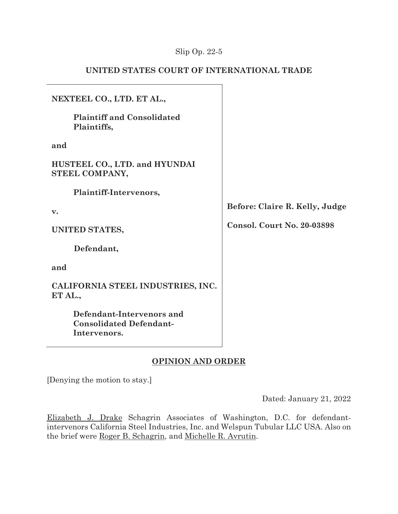## Slip Op. 22-5

## **UNITED STATES COURT OF INTERNATIONAL TRADE**

| NEXTEEL CO., LTD. ET AL.,                                                   |                                   |
|-----------------------------------------------------------------------------|-----------------------------------|
| <b>Plaintiff and Consolidated</b><br>Plaintiffs,                            |                                   |
| and                                                                         |                                   |
| HUSTEEL CO., LTD. and HYUNDAI<br>STEEL COMPANY,                             |                                   |
| Plaintiff-Intervenors,                                                      |                                   |
| $\mathbf{v}$ .                                                              | Before: Claire R. Kelly, Judge    |
| UNITED STATES,                                                              | <b>Consol. Court No. 20-03898</b> |
| Defendant,                                                                  |                                   |
| and                                                                         |                                   |
| CALIFORNIA STEEL INDUSTRIES, INC.<br>ET AL.,                                |                                   |
| Defendant-Intervenors and<br><b>Consolidated Defendant-</b><br>Intervenors. |                                   |

# **OPINION AND ORDER**

[Denying the motion to stay.]

Dated: January 21, 2022

Elizabeth J. Drake Schagrin Associates of Washington, D.C. for defendantintervenors California Steel Industries, Inc. and Welspun Tubular LLC USA. Also on the brief were Roger B. Schagrin, and Michelle R. Avrutin.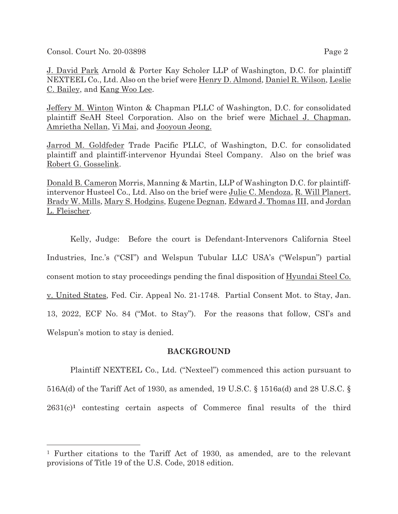Consol. Court No. 20-03898 Page 2

J. David Park Arnold & Porter Kay Scholer LLP of Washington, D.C. for plaintiff NEXTEEL Co., Ltd. Also on the brief were Henry D. Almond, Daniel R. Wilson, Leslie C. Bailey, and Kang Woo Lee.

Jeffery M. Winton Winton & Chapman PLLC of Washington, D.C. for consolidated plaintiff SeAH Steel Corporation. Also on the brief were Michael J. Chapman, Amrietha Nellan, Vi Mai, and Jooyoun Jeong.

Jarrod M. Goldfeder Trade Pacific PLLC, of Washington, D.C. for consolidated plaintiff and plaintiff-intervenor Hyundai Steel Company. Also on the brief was Robert G. Gosselink.

Donald B. Cameron Morris, Manning & Martin, LLP of Washington D.C. for plaintiffintervenor Husteel Co., Ltd. Also on the brief were Julie C. Mendoza, R. Will Planert, Brady W. Mills, Mary S. Hodgins, Eugene Degnan, Edward J. Thomas III, and Jordan L. Fleischer.

Kelly, Judge: Before the court is Defendant-Intervenors California Steel Industries, Inc.'s ("CSI") and Welspun Tubular LLC USA's ("Welspun") partial consent motion to stay proceedings pending the final disposition of Hyundai Steel Co. v. United States, Fed. Cir. Appeal No. 21-1748. Partial Consent Mot. to Stay, Jan. 13, 2022, ECF No. 84 ("Mot. to Stay"). For the reasons that follow, CSI's and Welspun's motion to stay is denied.

### **BACKGROUND**

Plaintiff NEXTEEL Co., Ltd. ("Nexteel") commenced this action pursuant to 516A(d) of the Tariff Act of 1930, as amended, 19 U.S.C. § 1516a(d) and 28 U.S.C. § 2631(c)**1** contesting certain aspects of Commerce final results of the third

<sup>1</sup> Further citations to the Tariff Act of 1930, as amended, are to the relevant provisions of Title 19 of the U.S. Code, 2018 edition.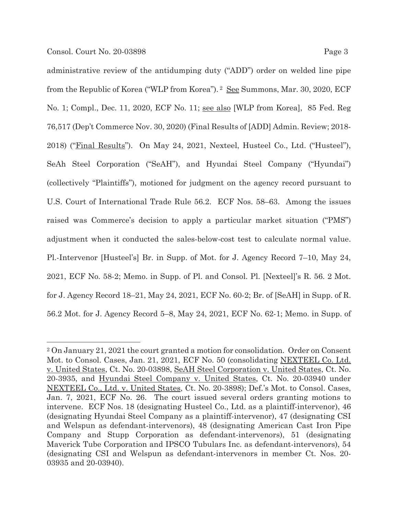administrative review of the antidumping duty ("ADD") order on welded line pipe from the Republic of Korea ("WLP from Korea"). <sup>2</sup> See Summons, Mar. 30, 2020, ECF No. 1; Compl., Dec. 11, 2020, ECF No. 11; see also [WLP from Korea], 85 Fed. Reg 76,517 (Dep't Commerce Nov. 30, 2020) (Final Results of [ADD] Admin. Review; 2018- 2018) ("Final Results"). On May 24, 2021, Nexteel, Husteel Co., Ltd. ("Husteel"), SeAh Steel Corporation ("SeAH"), and Hyundai Steel Company ("Hyundai") (collectively "Plaintiffs"), motioned for judgment on the agency record pursuant to U.S. Court of International Trade Rule 56.2. ECF Nos. 58–63. Among the issues raised was Commerce's decision to apply a particular market situation ("PMS") adjustment when it conducted the sales-below-cost test to calculate normal value. Pl.-Intervenor [Husteel's] Br. in Supp. of Mot. for J. Agency Record 7–10, May 24, 2021, ECF No. 58-2; Memo. in Supp. of Pl. and Consol. Pl. [Nexteel]'s R. 56. 2 Mot. for J. Agency Record 18–21, May 24, 2021, ECF No. 60-2; Br. of [SeAH] in Supp. of R. 56.2 Mot. for J. Agency Record 5–8, May 24, 2021, ECF No. 62-1; Memo. in Supp. of

<sup>2</sup> On January 21, 2021 the court granted a motion for consolidation. Order on Consent Mot. to Consol. Cases, Jan. 21, 2021, ECF No. 50 (consolidating NEXTEEL Co. Ltd. v. United States, Ct. No. 20-03898, SeAH Steel Corporation v. United States, Ct. No. 20-3935, and Hyundai Steel Company v. United States, Ct. No. 20-03940 under NEXTEEL Co., Ltd. v. United States, Ct. No. 20-3898); Def.'s Mot. to Consol. Cases, Jan. 7, 2021, ECF No. 26. The court issued several orders granting motions to intervene. ECF Nos. 18 (designating Husteel Co., Ltd. as a plaintiff-intervenor), 46 (designating Hyundai Steel Company as a plaintiff-intervenor), 47 (designating CSI and Welspun as defendant-intervenors), 48 (designating American Cast Iron Pipe Company and Stupp Corporation as defendant-intervenors), 51 (designating Maverick Tube Corporation and IPSCO Tubulars Inc. as defendant-intervenors), 54 (designating CSI and Welspun as defendant-intervenors in member Ct. Nos. 20- 03935 and 20-03940).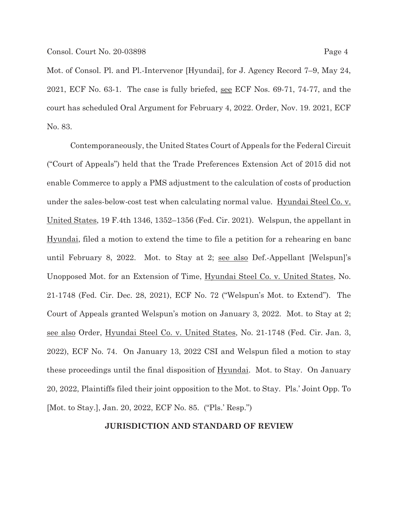Mot. of Consol. Pl. and Pl.-Intervenor [Hyundai], for J. Agency Record 7–9, May 24, 2021, ECF No. 63-1. The case is fully briefed, see ECF Nos. 69-71, 74-77, and the court has scheduled Oral Argument for February 4, 2022. Order, Nov. 19. 2021, ECF No. 83.

 Contemporaneously, the United States Court of Appeals for the Federal Circuit ("Court of Appeals") held that the Trade Preferences Extension Act of 2015 did not enable Commerce to apply a PMS adjustment to the calculation of costs of production under the sales-below-cost test when calculating normal value. Hyundai Steel Co. v. United States, 19 F.4th 1346, 1352–1356 (Fed. Cir. 2021). Welspun, the appellant in Hyundai, filed a motion to extend the time to file a petition for a rehearing en banc until February 8, 2022. Mot. to Stay at 2; see also Def.-Appellant [Welspun]'s Unopposed Mot. for an Extension of Time, Hyundai Steel Co. v. United States, No. 21-1748 (Fed. Cir. Dec. 28, 2021), ECF No. 72 ("Welspun's Mot. to Extend"). The Court of Appeals granted Welspun's motion on January 3, 2022. Mot. to Stay at 2; see also Order, Hyundai Steel Co. v. United States, No. 21-1748 (Fed. Cir. Jan. 3, 2022), ECF No. 74. On January 13, 2022 CSI and Welspun filed a motion to stay these proceedings until the final disposition of Hyundai. Mot. to Stay. On January 20, 2022, Plaintiffs filed their joint opposition to the Mot. to Stay. Pls.' Joint Opp. To [Mot. to Stay.], Jan. 20, 2022, ECF No. 85. ("Pls.' Resp.")

#### **JURISDICTION AND STANDARD OF REVIEW**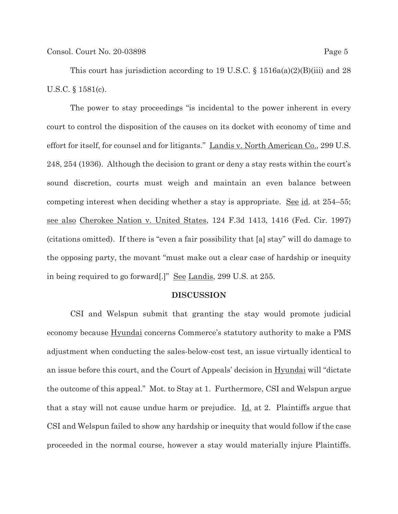This court has jurisdiction according to 19 U.S.C. § 1516a(a)(2)(B)(iii) and 28 U.S.C. § 1581(c).

The power to stay proceedings "is incidental to the power inherent in every court to control the disposition of the causes on its docket with economy of time and effort for itself, for counsel and for litigants." Landis v. North American Co., 299 U.S. 248, 254 (1936). Although the decision to grant or deny a stay rests within the court's sound discretion, courts must weigh and maintain an even balance between competing interest when deciding whether a stay is appropriate. <u>See id</u>. at  $254-55$ ; see also Cherokee Nation v. United States, 124 F.3d 1413, 1416 (Fed. Cir. 1997) (citations omitted). If there is "even a fair possibility that [a] stay" will do damage to the opposing party, the movant "must make out a clear case of hardship or inequity in being required to go forward[.]" See Landis, 299 U.S. at 255.

#### **DISCUSSION**

CSI and Welspun submit that granting the stay would promote judicial economy because Hyundai concerns Commerce's statutory authority to make a PMS adjustment when conducting the sales-below-cost test, an issue virtually identical to an issue before this court, and the Court of Appeals' decision in Hyundai will "dictate the outcome of this appeal." Mot. to Stay at 1. Furthermore, CSI and Welspun argue that a stay will not cause undue harm or prejudice.  $\underline{Id}$  at 2. Plaintiffs argue that CSI and Welspun failed to show any hardship or inequity that would follow if the case proceeded in the normal course, however a stay would materially injure Plaintiffs.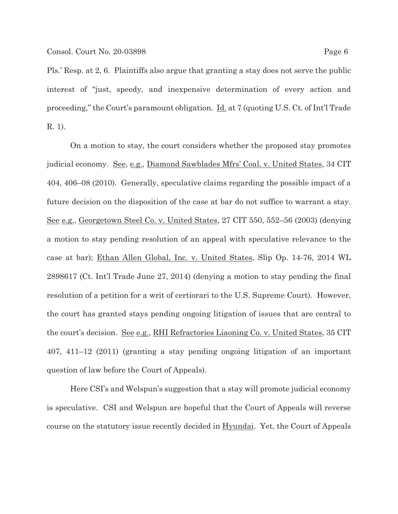Pls.' Resp. at 2, 6. Plaintiffs also argue that granting a stay does not serve the public interest of "just, speedy, and inexpensive determination of every action and proceeding," the Court's paramount obligation. Id. at 7 (quoting U.S. Ct. of Int'l Trade R. 1).

On a motion to stay, the court considers whether the proposed stay promotes judicial economy. See, e.g., Diamond Sawblades Mfrs' Coal. v. United States, 34 CIT 404, 406–08 (2010). Generally, speculative claims regarding the possible impact of a future decision on the disposition of the case at bar do not suffice to warrant a stay. See e.g., Georgetown Steel Co. v. United States, 27 CIT 550, 552–56 (2003) (denying a motion to stay pending resolution of an appeal with speculative relevance to the case at bar); Ethan Allen Global, Inc. v. United States, Slip Op. 14-76, 2014 WL 2898617 (Ct. Int'l Trade June 27, 2014) (denying a motion to stay pending the final resolution of a petition for a writ of certiorari to the U.S. Supreme Court). However, the court has granted stays pending ongoing litigation of issues that are central to the court's decision. See e.g., RHI Refractories Liaoning Co. v. United States, 35 CIT 407, 411–12 (2011) (granting a stay pending ongoing litigation of an important question of law before the Court of Appeals).

Here CSI's and Welspun's suggestion that a stay will promote judicial economy is speculative. CSI and Welspun are hopeful that the Court of Appeals will reverse course on the statutory issue recently decided in Hyundai. Yet, the Court of Appeals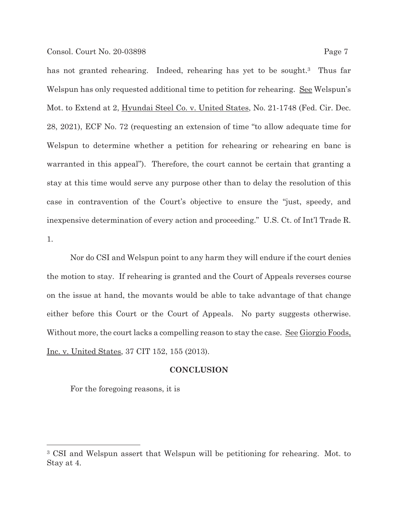has not granted rehearing. Indeed, rehearing has yet to be sought.<sup>3</sup> Thus far Welspun has only requested additional time to petition for rehearing. See Welspun's Mot. to Extend at 2, Hyundai Steel Co. v. United States, No. 21-1748 (Fed. Cir. Dec. 28, 2021), ECF No. 72 (requesting an extension of time "to allow adequate time for Welspun to determine whether a petition for rehearing or rehearing en banc is warranted in this appeal"). Therefore, the court cannot be certain that granting a stay at this time would serve any purpose other than to delay the resolution of this case in contravention of the Court's objective to ensure the "just, speedy, and inexpensive determination of every action and proceeding." U.S. Ct. of Int'l Trade R. 1.

Nor do CSI and Welspun point to any harm they will endure if the court denies the motion to stay. If rehearing is granted and the Court of Appeals reverses course on the issue at hand, the movants would be able to take advantage of that change either before this Court or the Court of Appeals. No party suggests otherwise. Without more, the court lacks a compelling reason to stay the case. See Giorgio Foods, Inc. v. United States, 37 CIT 152, 155 (2013).

### **CONCLUSION**

For the foregoing reasons, it is

<sup>3</sup> CSI and Welspun assert that Welspun will be petitioning for rehearing. Mot. to Stay at 4.